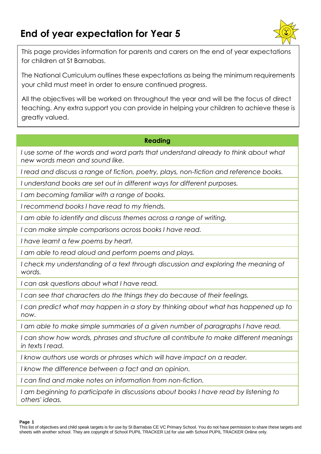# **End of year expectation for Year 5**



This page provides information for parents and carers on the end of year expectations for children at St Barnabas.

The National Curriculum outlines these expectations as being the minimum requirements your child must meet in order to ensure continued progress.

All the objectives will be worked on throughout the year and will be the focus of direct teaching. Any extra support you can provide in helping your children to achieve these is greatly valued.

## **Reading**

*I* use some of the words and word parts that understand already to think about what *new words mean and sound like.*

*I read and discuss a range of fiction, poetry, plays, non-fiction and reference books.*

*I understand books are set out in different ways for different purposes.*

*I am becoming familiar with a range of books.*

*I recommend books I have read to my friends.*

*I am able to identify and discuss themes across a range of writing.*

*I can make simple comparisons across books I have read.*

*I have learnt a few poems by heart.*

*I am able to read aloud and perform poems and plays.*

I check my understanding of a text through discussion and exploring the meaning of *words.*

*I can ask questions about what I have read.*

*I can see that characters do the things they do because of their feelings.*

*I* can predict what may happen in a story by thinking about what has happened up to *now.*

*I am able to make simple summaries of a given number of paragraphs I have read.*

*I can show how words, phrases and structure all contribute to make different meanings in texts I read.*

*I know authors use words or phrases which will have impact on a reader.*

*I know the difference between a fact and an opinion.*

*I can find and make notes on information from non-fiction.*

*I am beginning to participate in discussions about books I have read by listening to others' ideas.*

**Page 1**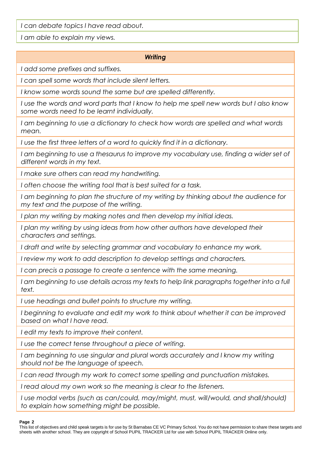*I can debate topics I have read about.*

*I am able to explain my views.*

## *Writing*

*I add some prefixes and suffixes.*

*I can spell some words that include silent letters.*

*I know some words sound the same but are spelled differently.*

*I use the words and word parts that I know to help me spell new words but I also know some words need to be learnt individually.*

*I am beginning to use a dictionary to check how words are spelled and what words mean.*

*I use the first three letters of a word to quickly find it in a dictionary.*

*I am beginning to use a thesaurus to improve my vocabulary use, finding a wider set of different words in my text.*

*I make sure others can read my handwriting.*

*I often choose the writing tool that is best suited for a task.*

*I am beginning to plan the structure of my writing by thinking about the audience for my text and the purpose of the writing.*

*I plan my writing by making notes and then develop my initial ideas.*

*I plan my writing by using ideas from how other authors have developed their characters and settings.*

*I draft and write by selecting grammar and vocabulary to enhance my work.*

*I review my work to add description to develop settings and characters.*

*I can precis a passage to create a sentence with the same meaning.*

*I am beginning to use details across my texts to help link paragraphs together into a full text.*

*I use headings and bullet points to structure my writing.*

*I beginning to evaluate and edit my work to think about whether it can be improved based on what I have read.*

*I edit my texts to improve their content.*

*I use the correct tense throughout a piece of writing.*

*I am beginning to use singular and plural words accurately and I know my writing should not be the language of speech.*

*I can read through my work to correct some spelling and punctuation mistakes.*

*I read aloud my own work so the meaning is clear to the listeners.*

*I* use modal verbs (such as can/could, may/might, must, will/would, and shall/should) *to explain how something might be possible.*

**Page 2**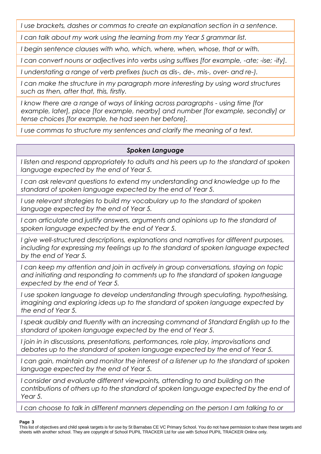*I use brackets, dashes or commas to create an explanation section in a sentence.*

*I can talk about my work using the learning from my Year 5 grammar list.*

*I begin sentence clauses with who, which, where, when, whose, that or with.*

*I can convert nouns or adjectives into verbs using suffixes [for example, -ate; -ise; -ify].*

*I understating a range of verb prefixes (such as dis-, de-, mis-, over- and re-).*

*I can make the structure in my paragraph more interesting by using word structures such as then, after that, this, firstly.*

*I know there are a range of ways of linking across paragraphs - using time [for example, later], place [for example, nearby] and number [for example, secondly] or tense choices [for example, he had seen her before].*

*I use commas to structure my sentences and clarify the meaning of a text.*

# *Spoken Language*

*I listen and respond appropriately to adults and his peers up to the standard of spoken language expected by the end of Year 5.*

*I can ask relevant questions to extend my understanding and knowledge up to the standard of spoken language expected by the end of Year 5.*

*I* use relevant strategies to build my vocabulary up to the standard of spoken *language expected by the end of Year 5.*

*I* can articulate and justify answers, arguments and opinions up to the standard of *spoken language expected by the end of Year 5.*

*I give well-structured descriptions, explanations and narratives for different purposes, including for expressing my feelings up to the standard of spoken language expected by the end of Year 5.*

*I can keep my attention and join in actively in group conversations, staying on topic and initiating and responding to comments up to the standard of spoken language expected by the end of Year 5.*

*I use spoken language to develop understanding through speculating, hypothesising, imagining and exploring ideas up to the standard of spoken language expected by the end of Year 5.*

*I speak audibly and fluently with an increasing command of Standard English up to the standard of spoken language expected by the end of Year 5.*

*I join in in discussions, presentations, performances, role play, improvisations and debates up to the standard of spoken language expected by the end of Year 5.*

*I can gain, maintain and monitor the interest of a listener up to the standard of spoken language expected by the end of Year 5.*

*I consider and evaluate different viewpoints, attending to and building on the contributions of others up to the standard of spoken language expected by the end of Year 5.*

*I* can choose to talk in different manners depending on the person I am talking to or

#### **Page 3**

This list of objectives and child speak targets is for use by St Barnabas CE VC Primary School. You do not have permission to share these targets and sheets with another school. They are copyright of School PUPIL TRACKER Ltd for use with School PUPIL TRACKER Online only.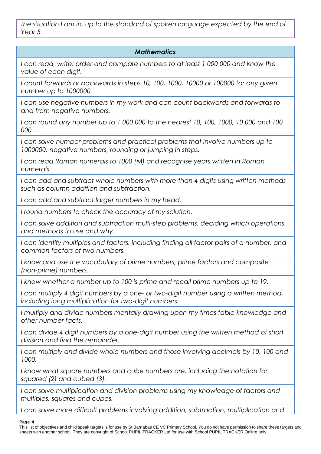*the situation I am in, up to the standard of spoken language expected by the end of Year 5.*

# *Mathematics*

*I can read, write, order and compare numbers to at least 1 000 000 and know the value of each digit.*

*I count forwards or backwards in steps 10, 100, 1000, 10000 or 100000 for any given number up to 1000000.*

I can use negative numbers in my work and can count backwards and forwards to *and from negative numbers.*

*I can round any number up to 1 000 000 to the nearest 10, 100, 1000, 10 000 and 100 000.*

*I can solve number problems and practical problems that involve numbers up to 1000000, negative numbers, rounding or jumping in steps.*

*I can read Roman numerals to 1000 (M) and recognise years written in Roman numerals.*

*I can add and subtract whole numbers with more than 4 digits using written methods such as column addition and subtraction.*

*I can add and subtract larger numbers in my head.*

*I round numbers to check the accuracy of my solution.*

*I can solve addition and subtraction multi-step problems, deciding which operations and methods to use and why.*

*I can identify multiples and factors, including finding all factor pairs of a number, and common factors of two numbers.*

*I know and use the vocabulary of prime numbers, prime factors and composite (non-prime) numbers.*

*I know whether a number up to 100 is prime and recall prime numbers up to 19.*

*I can multiply 4 digit numbers by a one- or two-digit number using a written method, including long multiplication for two-digit numbers.*

*I multiply and divide numbers mentally drawing upon my times table knowledge and other number facts.*

*I can divide 4 digit numbers by a one-digit number using the written method of short division and find the remainder.*

*I can multiply and divide whole numbers and those involving decimals by 10, 100 and 1000.*

*I know what square numbers and cube numbers are, including the notation for squared (2) and cubed (3).*

*I can solve multiplication and division problems using my knowledge of factors and multiples, squares and cubes.*

*I can solve more difficult problems involving addition, subtraction, multiplication and* 

#### **Page 4**

This list of objectives and child speak targets is for use by St Barnabas CE VC Primary School. You do not have permission to share these targets and sheets with another school. They are copyright of School PUPIL TRACKER Ltd for use with School PUPIL TRACKER Online only.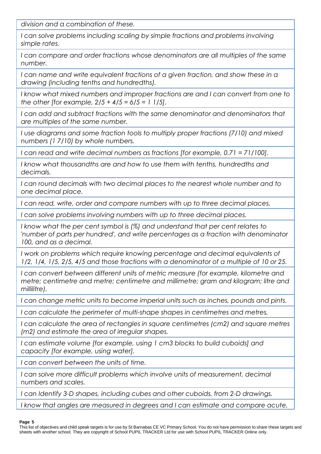*division and a combination of these.*

*I can solve problems including scaling by simple fractions and problems involving simple rates.*

*I can compare and order fractions whose denominators are all multiples of the same number.*

*I can name and write equivalent fractions of a given fraction, and show these in a drawing (including tenths and hundredths).*

*I know what mixed numbers and improper fractions are and I can convert from one to the other [for example, 2/5 + 4/5 = 6/5 = 1 1/5].*

*I can add and subtract fractions with the same denominator and denominators that are multiples of the same number.*

*I use diagrams and some fraction tools to multiply proper fractions (7/10) and mixed numbers (1 7/10) by whole numbers.*

*I can read and write decimal numbers as fractions [for example, 0.71 = 71/100].*

*I know what thousandths are and how to use them with tenths, hundredths and decimals.*

*I can round decimals with two decimal places to the nearest whole number and to one decimal place.*

*I can read, write, order and compare numbers with up to three decimal places.*

*I can solve problems involving numbers with up to three decimal places.*

*I know what the per cent symbol is (%) and understand that per cent relates to 'number of parts per hundred', and write percentages as a fraction with denominator 100, and as a decimal.*

*I work on problems which require knowing percentage and decimal equivalents of 1/2, 1/4, 1/5, 2/5, 4/5 and those fractions with a denominator of a multiple of 10 or 25.*

*I can convert between different units of metric measure (for example, kilometre and metre; centimetre and metre; centimetre and millimetre; gram and kilogram; litre and millilitre).*

*I can change metric units to become imperial units such as inches, pounds and pints.*

*I can calculate the perimeter of multi-shape shapes in centimetres and metres.*

*I can calculate the area of rectangles in square centimetres (cm2) and square metres (m2) and estimate the area of irregular shapes.*

*I can estimate volume [for example, using 1 cm3 blocks to build cuboids] and capacity [for example, using water].*

*I can convert between the units of time.*

*I can solve more difficult problems which involve units of measurement, decimal numbers and scales.*

*I can Identify 3-D shapes, including cubes and other cuboids, from 2-D drawings.*

*I know that angles are measured in degrees and I can estimate and compare acute,* 

#### **Page 5**

This list of objectives and child speak targets is for use by St Barnabas CE VC Primary School. You do not have permission to share these targets and sheets with another school. They are copyright of School PUPIL TRACKER Ltd for use with School PUPIL TRACKER Online only.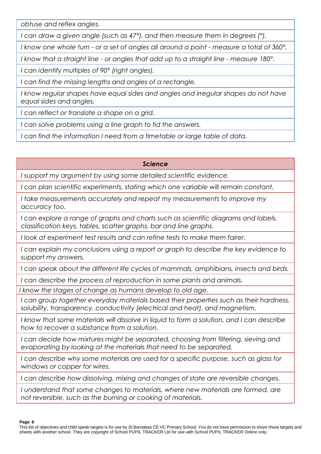*obtuse and reflex angles.*

*I can draw a given angle (such as 47°), and then measure them in degrees (°).*

*I know one whole turn - or a set of angles all around a point - measure a total of 360°.*

*I know that a straight line - or angles that add up to a straight line - measure 180°.*

*I can identify multiples of 90° (right angles).*

*I can find the missing lengths and angles of a rectangle.*

*I know regular shapes have equal sides and angles and irregular shapes do not have equal sides and angles.*

*I can reflect or translate a shape on a grid.*

*I can solve problems using a line graph to fid the answers.*

*I can find the information I need from a timetable or large table of data.*

## *Science*

*I support my argument by using some detailed scientific evidence.*

*I can plan scientific experiments, stating which one variable will remain constant.* 

*I take measurements accurately and repeat my measurements to improve my accuracy too.*

*I can explore a range of graphs and charts such as scientific diagrams and labels, classification keys, tables, scatter graphs, bar and line graphs.*

*I look at experiment test results and can refine tests to make them fairer.*

*I can explain my conclusions using a report or graph to describe the key evidence to support my answers.*

*I can speak about the different life cycles of mammals, amphibians, insects and birds.*

*I can describe the process of reproduction in some plants and animals.*

*I know the stages of change as humans develop to old age.*

*I can group together everyday materials based their properties such as their hardness, solubility, transparency, conductivity (electrical and heat), and magnetism.*

*I know that some materials will dissolve in liquid to form a solution, and I can describe how to recover a substance from a solution.*

*I can decide how mixtures might be separated, choosing from filtering, sieving and evaporating by looking at the materials that need to be separated.*

*I can describe why some materials are used for a specific purpose, such as glass for windows or copper for wires.*

*I can describe how dissolving, mixing and changes of state are reversible changes.*

*I understand that some changes to materials, where new materials are formed, are not reversible, such as the burning or cooking of materials.*

**Page 6**